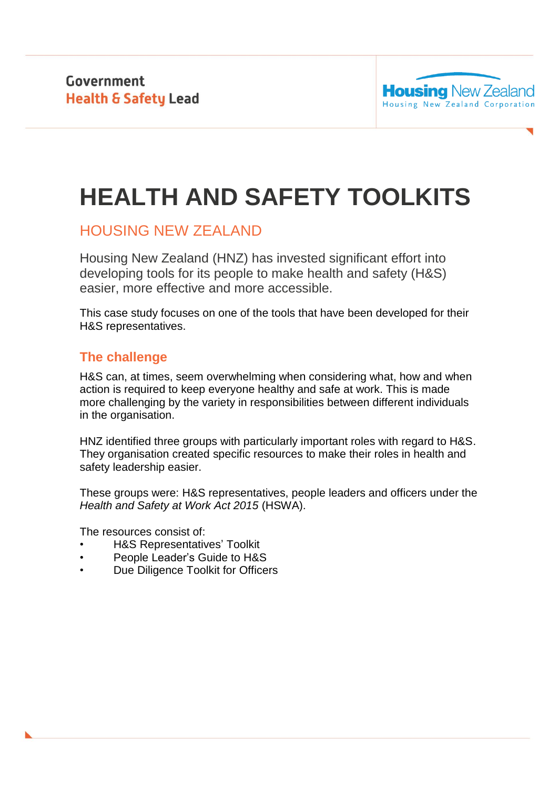

# **HEALTH AND SAFETY TOOLKITS**

## HOUSING NEW ZEALAND

Housing New Zealand (HNZ) has invested significant effort into developing tools for its people to make health and safety (H&S) easier, more effective and more accessible.

This case study focuses on one of the tools that have been developed for their H&S representatives.

## **The challenge**

H&S can, at times, seem overwhelming when considering what, how and when action is required to keep everyone healthy and safe at work. This is made more challenging by the variety in responsibilities between different individuals in the organisation.

HNZ identified three groups with particularly important roles with regard to H&S. They organisation created specific resources to make their roles in health and safety leadership easier.

These groups were: H&S representatives, people leaders and officers under the *Health and Safety at Work Act 2015* (HSWA).

The resources consist of:

- H&S Representatives' Toolkit
- People Leader's Guide to H&S
- Due Diligence Toolkit for Officers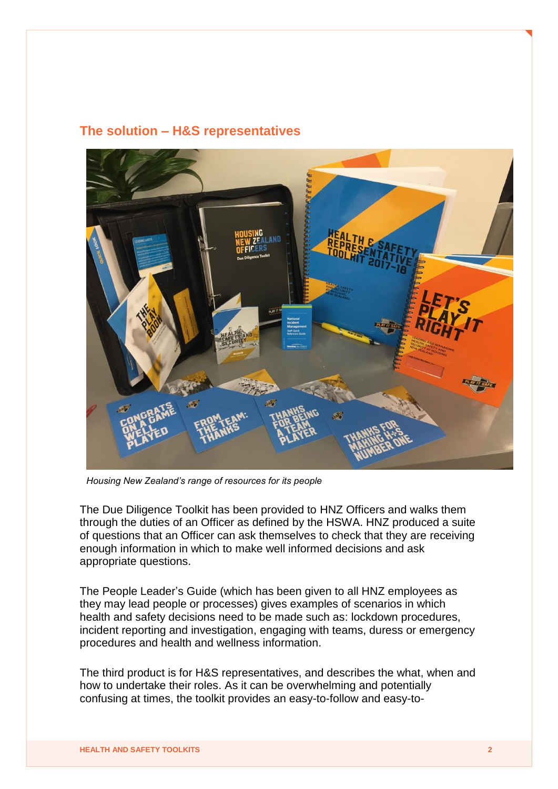#### **The solution – H&S representatives**



*Housing New Zealand's range of resources for its people*

The Due Diligence Toolkit has been provided to HNZ Officers and walks them through the duties of an Officer as defined by the HSWA. HNZ produced a suite of questions that an Officer can ask themselves to check that they are receiving enough information in which to make well informed decisions and ask appropriate questions.

The People Leader's Guide (which has been given to all HNZ employees as they may lead people or processes) gives examples of scenarios in which health and safety decisions need to be made such as: lockdown procedures, incident reporting and investigation, engaging with teams, duress or emergency procedures and health and wellness information.

The third product is for H&S representatives, and describes the what, when and how to undertake their roles. As it can be overwhelming and potentially confusing at times, the toolkit provides an easy-to-follow and easy-to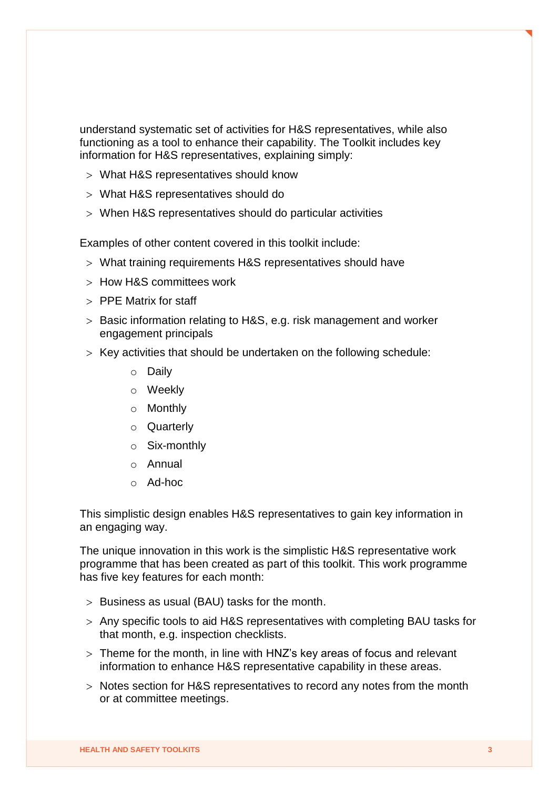understand systematic set of activities for H&S representatives, while also functioning as a tool to enhance their capability. The Toolkit includes key information for H&S representatives, explaining simply:

- What H&S representatives should know
- What H&S representatives should do
- When H&S representatives should do particular activities

Examples of other content covered in this toolkit include:

- What training requirements H&S representatives should have
- > How H&S committees work
- $>$  PPF Matrix for staff
- > Basic information relating to H&S, e.g. risk management and worker engagement principals
- $>$  Key activities that should be undertaken on the following schedule:
	- o Daily
	- o Weekly
	- o Monthly
	- o Quarterly
	- o Six-monthly
	- o Annual
	- o Ad-hoc

This simplistic design enables H&S representatives to gain key information in an engaging way.

The unique innovation in this work is the simplistic H&S representative work programme that has been created as part of this toolkit. This work programme has five key features for each month:

- $>$  Business as usual (BAU) tasks for the month.
- Any specific tools to aid H&S representatives with completing BAU tasks for that month, e.g. inspection checklists.
- $>$  Theme for the month, in line with HNZ's key areas of focus and relevant information to enhance H&S representative capability in these areas.
- Notes section for H&S representatives to record any notes from the month or at committee meetings.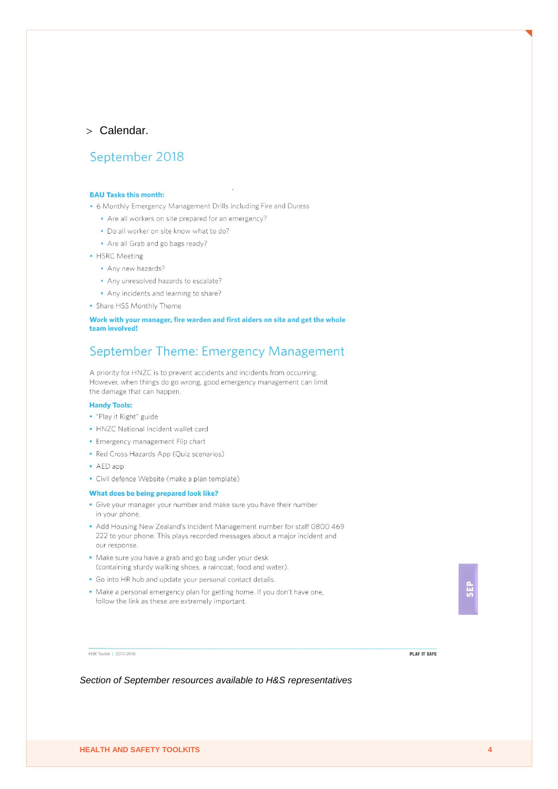### $\ge$  Calendar.

#### September 2018

#### **BAU Tasks this month:**

- 6 Monthly Emergency Management Drills including Fire and Duress
	- Are all workers on site prepared for an emergency?
	- . Do all worker on site know what to do?
	- Are all Grab and go bags ready?
- · HSRC Meeting
	- · Any new hazards?
	- . Any unresolved hazards to escalate?
	- . Any incidents and learning to share?
- Share HSS Monthly Theme

Work with your manager, fire warden and first aiders on site and get the whole team involved!

## September Theme: Emergency Management

A priority for HNZC is to prevent accidents and incidents from occurring. However, when things do go wrong, good emergency management can limit the damage that can happen.

#### **Handy Tools:**

- · "Play it Right" guide
- . HNZC National Incident wallet card
- Emergency management Flip chart
- Red Cross Hazards App (Quiz scenarios)
- AED app
- · Civil defence Website (make a plan template)

#### What does be being prepared look like?

- · Give your manager your number and make sure you have their number in your phone.
- Add Housing New Zealand's Incident Management number for staff 0800 469 222 to your phone. This plays recorded messages about a major incident and our response.
- . Make sure you have a grab and go bag under your desk (containing sturdy walking shoes, a raincoat, food and water).
- · Go into HR hub and update your personal contact details.
- . Make a personal emergency plan for getting home. If you don't have one, follow the link as these are extremely important.

HSR Toolkit | 2017-2018

PLAY IT SAFE

Section of September resources available to H&S representatives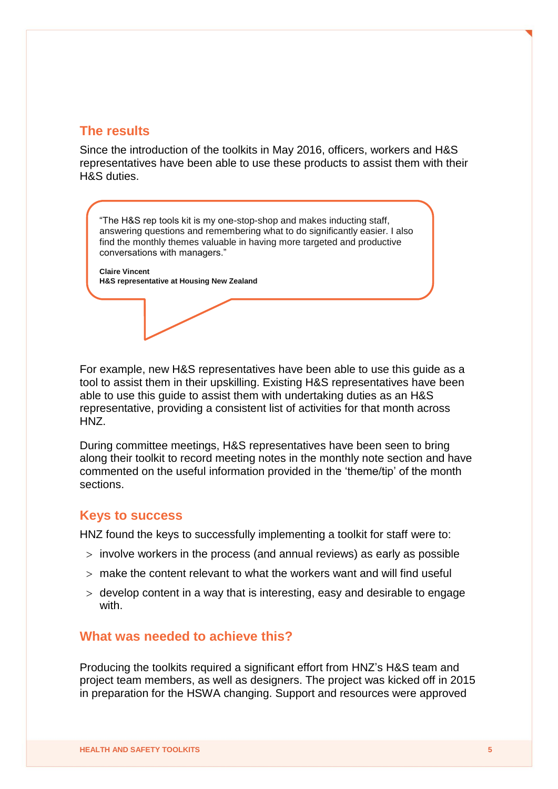#### **The results**

Since the introduction of the toolkits in May 2016, officers, workers and H&S representatives have been able to use these products to assist them with their H&S duties.

"The H&S rep tools kit is my one-stop-shop and makes inducting staff, answering questions and remembering what to do significantly easier. I also find the monthly themes valuable in having more targeted and productive conversations with managers."

**Claire Vincent H&S representative at Housing New Zealand**

For example, new H&S representatives have been able to use this guide as a tool to assist them in their upskilling. Existing H&S representatives have been able to use this guide to assist them with undertaking duties as an H&S representative, providing a consistent list of activities for that month across HN<sub>Z</sub>

During committee meetings, H&S representatives have been seen to bring along their toolkit to record meeting notes in the monthly note section and have commented on the useful information provided in the 'theme/tip' of the month sections.

#### **Keys to success**

HNZ found the keys to successfully implementing a toolkit for staff were to:

- $>$  involve workers in the process (and annual reviews) as early as possible
- make the content relevant to what the workers want and will find useful
- develop content in a way that is interesting, easy and desirable to engage with

#### **What was needed to achieve this?**

Producing the toolkits required a significant effort from HNZ's H&S team and project team members, as well as designers. The project was kicked off in 2015 in preparation for the HSWA changing. Support and resources were approved